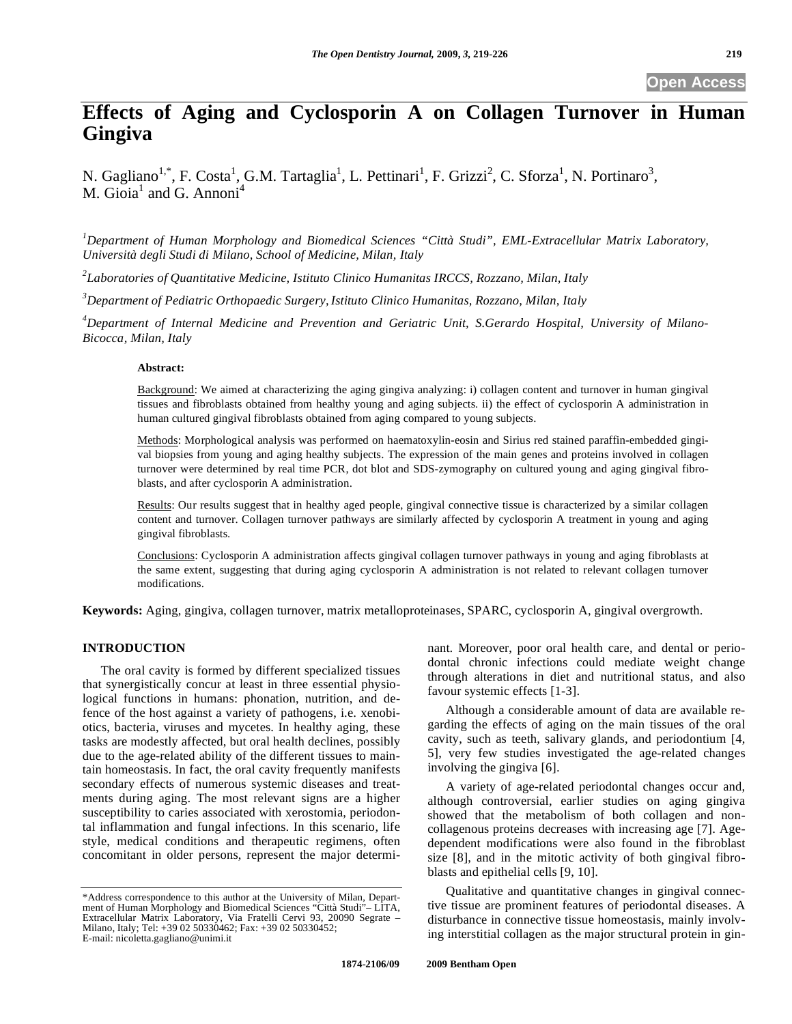# **Effects of Aging and Cyclosporin A on Collagen Turnover in Human Gingiva**

N. Gagliano<sup>1,\*</sup>, F. Costa<sup>1</sup>, G.M. Tartaglia<sup>1</sup>, L. Pettinari<sup>1</sup>, F. Grizzi<sup>2</sup>, C. Sforza<sup>1</sup>, N. Portinaro<sup>3</sup>, M. Gioia<sup>1</sup> and G. Annoni<sup>4</sup>

*1 Department of Human Morphology and Biomedical Sciences "Città Studi", EML-Extracellular Matrix Laboratory, Università degli Studi di Milano, School of Medicine, Milan, Italy* 

*2 Laboratories of Quantitative Medicine, Istituto Clinico Humanitas IRCCS, Rozzano, Milan, Italy*

*3 Department of Pediatric Orthopaedic Surgery, Istituto Clinico Humanitas, Rozzano, Milan, Italy* 

*4 Department of Internal Medicine and Prevention and Geriatric Unit, S.Gerardo Hospital, University of Milano-Bicocca, Milan, Italy* 

#### **Abstract:**

Background: We aimed at characterizing the aging gingiva analyzing: i) collagen content and turnover in human gingival tissues and fibroblasts obtained from healthy young and aging subjects. ii) the effect of cyclosporin A administration in human cultured gingival fibroblasts obtained from aging compared to young subjects.

Methods: Morphological analysis was performed on haematoxylin-eosin and Sirius red stained paraffin-embedded gingival biopsies from young and aging healthy subjects. The expression of the main genes and proteins involved in collagen turnover were determined by real time PCR, dot blot and SDS-zymography on cultured young and aging gingival fibroblasts, and after cyclosporin A administration.

Results: Our results suggest that in healthy aged people, gingival connective tissue is characterized by a similar collagen content and turnover. Collagen turnover pathways are similarly affected by cyclosporin A treatment in young and aging gingival fibroblasts.

Conclusions: Cyclosporin A administration affects gingival collagen turnover pathways in young and aging fibroblasts at the same extent, suggesting that during aging cyclosporin A administration is not related to relevant collagen turnover modifications.

**Keywords:** Aging, gingiva, collagen turnover, matrix metalloproteinases, SPARC, cyclosporin A, gingival overgrowth.

# **INTRODUCTION**

The oral cavity is formed by different specialized tissues that synergistically concur at least in three essential physiological functions in humans: phonation, nutrition, and defence of the host against a variety of pathogens, i.e. xenobiotics, bacteria, viruses and mycetes. In healthy aging, these tasks are modestly affected, but oral health declines, possibly due to the age-related ability of the different tissues to maintain homeostasis. In fact, the oral cavity frequently manifests secondary effects of numerous systemic diseases and treatments during aging. The most relevant signs are a higher susceptibility to caries associated with xerostomia, periodontal inflammation and fungal infections. In this scenario, life style, medical conditions and therapeutic regimens, often concomitant in older persons, represent the major determinant. Moreover, poor oral health care, and dental or periodontal chronic infections could mediate weight change through alterations in diet and nutritional status, and also favour systemic effects [1-3].

Although a considerable amount of data are available regarding the effects of aging on the main tissues of the oral cavity, such as teeth, salivary glands, and periodontium [4, 5], very few studies investigated the age-related changes involving the gingiva [6].

A variety of age-related periodontal changes occur and, although controversial, earlier studies on aging gingiva showed that the metabolism of both collagen and noncollagenous proteins decreases with increasing age [7]. Agedependent modifications were also found in the fibroblast size [8], and in the mitotic activity of both gingival fibroblasts and epithelial cells [9, 10].

Qualitative and quantitative changes in gingival connective tissue are prominent features of periodontal diseases. A disturbance in connective tissue homeostasis, mainly involving interstitial collagen as the major structural protein in gin-

<sup>\*</sup>Address correspondence to this author at the University of Milan, Depart-ment of Human Morphology and Biomedical Sciences "Città Studi"– LITA, Extracellular Matrix Laboratory, Via Fratelli Cervi 93, 20090 Segrate – Milano, Italy; Tel: +39 02 50330462; Fax: +39 02 50330452; E-mail: nicoletta.gagliano@unimi.it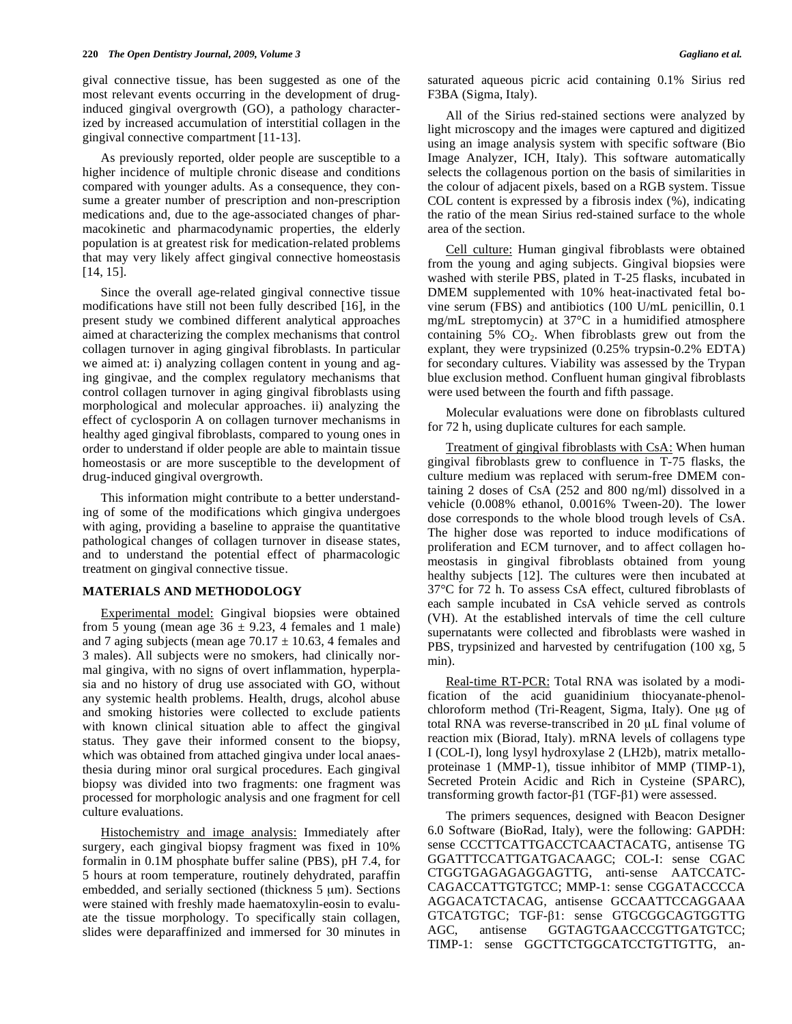gival connective tissue, has been suggested as one of the most relevant events occurring in the development of druginduced gingival overgrowth (GO), a pathology characterized by increased accumulation of interstitial collagen in the gingival connective compartment [11-13].

As previously reported, older people are susceptible to a higher incidence of multiple chronic disease and conditions compared with younger adults. As a consequence, they consume a greater number of prescription and non-prescription medications and, due to the age-associated changes of pharmacokinetic and pharmacodynamic properties, the elderly population is at greatest risk for medication-related problems that may very likely affect gingival connective homeostasis [14, 15].

Since the overall age-related gingival connective tissue modifications have still not been fully described [16], in the present study we combined different analytical approaches aimed at characterizing the complex mechanisms that control collagen turnover in aging gingival fibroblasts. In particular we aimed at: i) analyzing collagen content in young and aging gingivae, and the complex regulatory mechanisms that control collagen turnover in aging gingival fibroblasts using morphological and molecular approaches. ii) analyzing the effect of cyclosporin A on collagen turnover mechanisms in healthy aged gingival fibroblasts, compared to young ones in order to understand if older people are able to maintain tissue homeostasis or are more susceptible to the development of drug-induced gingival overgrowth.

This information might contribute to a better understanding of some of the modifications which gingiva undergoes with aging, providing a baseline to appraise the quantitative pathological changes of collagen turnover in disease states, and to understand the potential effect of pharmacologic treatment on gingival connective tissue.

#### **MATERIALS AND METHODOLOGY**

Experimental model: Gingival biopsies were obtained from 5 young (mean age  $36 \pm 9.23$ , 4 females and 1 male) and 7 aging subjects (mean age  $70.17 \pm 10.63$ , 4 females and 3 males). All subjects were no smokers, had clinically normal gingiva, with no signs of overt inflammation, hyperplasia and no history of drug use associated with GO, without any systemic health problems. Health, drugs, alcohol abuse and smoking histories were collected to exclude patients with known clinical situation able to affect the gingival status. They gave their informed consent to the biopsy, which was obtained from attached gingiva under local anaesthesia during minor oral surgical procedures. Each gingival biopsy was divided into two fragments: one fragment was processed for morphologic analysis and one fragment for cell culture evaluations.

Histochemistry and image analysis: Immediately after surgery, each gingival biopsy fragment was fixed in 10% formalin in 0.1M phosphate buffer saline (PBS), pH 7.4, for 5 hours at room temperature, routinely dehydrated, paraffin embedded, and serially sectioned (thickness 5 μm). Sections were stained with freshly made haematoxylin-eosin to evaluate the tissue morphology. To specifically stain collagen, slides were deparaffinized and immersed for 30 minutes in saturated aqueous picric acid containing 0.1% Sirius red F3BA (Sigma, Italy).

All of the Sirius red-stained sections were analyzed by light microscopy and the images were captured and digitized using an image analysis system with specific software (Bio Image Analyzer, ICH, Italy). This software automatically selects the collagenous portion on the basis of similarities in the colour of adjacent pixels, based on a RGB system. Tissue COL content is expressed by a fibrosis index (%), indicating the ratio of the mean Sirius red-stained surface to the whole area of the section.

Cell culture: Human gingival fibroblasts were obtained from the young and aging subjects. Gingival biopsies were washed with sterile PBS, plated in T-25 flasks, incubated in DMEM supplemented with 10% heat-inactivated fetal bovine serum (FBS) and antibiotics (100 U/mL penicillin, 0.1 mg/mL streptomycin) at 37°C in a humidified atmosphere containing  $5\%$  CO<sub>2</sub>. When fibroblasts grew out from the explant, they were trypsinized (0.25% trypsin-0.2% EDTA) for secondary cultures. Viability was assessed by the Trypan blue exclusion method. Confluent human gingival fibroblasts were used between the fourth and fifth passage.

Molecular evaluations were done on fibroblasts cultured for 72 h, using duplicate cultures for each sample.

Treatment of gingival fibroblasts with CsA: When human gingival fibroblasts grew to confluence in T-75 flasks, the culture medium was replaced with serum-free DMEM containing 2 doses of CsA (252 and 800 ng/ml) dissolved in a vehicle (0.008% ethanol, 0.0016% Tween-20). The lower dose corresponds to the whole blood trough levels of CsA. The higher dose was reported to induce modifications of proliferation and ECM turnover, and to affect collagen homeostasis in gingival fibroblasts obtained from young healthy subjects [12]. The cultures were then incubated at 37°C for 72 h. To assess CsA effect, cultured fibroblasts of each sample incubated in CsA vehicle served as controls (VH). At the established intervals of time the cell culture supernatants were collected and fibroblasts were washed in PBS, trypsinized and harvested by centrifugation (100 xg, 5 min).

Real-time RT-PCR: Total RNA was isolated by a modification of the acid guanidinium thiocyanate-phenolchloroform method (Tri-Reagent, Sigma, Italy). One μg of total RNA was reverse-transcribed in 20 μL final volume of reaction mix (Biorad, Italy). mRNA levels of collagens type I (COL-I), long lysyl hydroxylase 2 (LH2b), matrix metalloproteinase 1 (MMP-1), tissue inhibitor of MMP (TIMP-1), Secreted Protein Acidic and Rich in Cysteine (SPARC), transforming growth factor- $\beta$ 1 (TGF- $\beta$ 1) were assessed.

The primers sequences, designed with Beacon Designer 6.0 Software (BioRad, Italy), were the following: GAPDH: sense CCCTTCATTGACCTCAACTACATG, antisense TG GGATTTCCATTGATGACAAGC; COL-I: sense CGAC CTGGTGAGAGAGGAGTTG, anti-sense AATCCATC-CAGACCATTGTGTCC; MMP-1: sense CGGATACCCCA AGGACATCTACAG, antisense GCCAATTCCAGGAAA GTCATGTGC; TGF- $\beta$ 1: sense GTGCGGCAGTGGTTG AGC, antisense GGTAGTGAACCCGTTGATGTCC; TIMP-1: sense GGCTTCTGGCATCCTGTTGTTG, an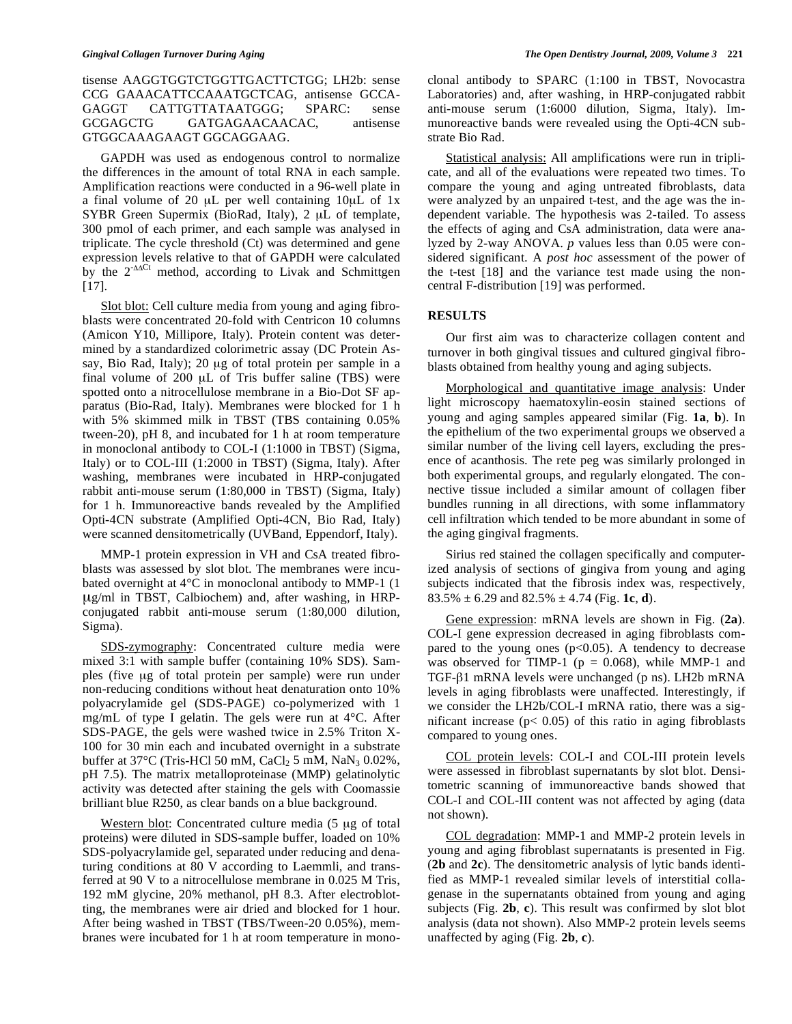tisense AAGGTGGTCTGGTTGACTTCTGG; LH2b: sense CCG GAAACATTCCAAATGCTCAG, antisense GCCA-GAGGT CATTGTTATAATGGG; SPARC: sense GCGAGCTG GATGAGAACAACAC, antisense GTGGCAAAGAAGT GGCAGGAAG.

GAPDH was used as endogenous control to normalize the differences in the amount of total RNA in each sample. Amplification reactions were conducted in a 96-well plate in a final volume of 20 μL per well containing 10μL of 1x SYBR Green Supermix (BioRad, Italy), 2 μL of template, 300 pmol of each primer, and each sample was analysed in triplicate. The cycle threshold (Ct) was determined and gene expression levels relative to that of GAPDH were calculated by the  $2^{-\Delta\Delta Ct}$  method, according to Livak and Schmittgen [17].

Slot blot: Cell culture media from young and aging fibroblasts were concentrated 20-fold with Centricon 10 columns (Amicon Y10, Millipore, Italy). Protein content was determined by a standardized colorimetric assay (DC Protein Assay, Bio Rad, Italy); 20 μg of total protein per sample in a final volume of 200 μL of Tris buffer saline (TBS) were spotted onto a nitrocellulose membrane in a Bio-Dot SF apparatus (Bio-Rad, Italy). Membranes were blocked for 1 h with 5% skimmed milk in TBST (TBS containing 0.05% tween-20), pH 8, and incubated for 1 h at room temperature in monoclonal antibody to COL-I (1:1000 in TBST) (Sigma, Italy) or to COL-III (1:2000 in TBST) (Sigma, Italy). After washing, membranes were incubated in HRP-conjugated rabbit anti-mouse serum (1:80,000 in TBST) (Sigma, Italy) for 1 h. Immunoreactive bands revealed by the Amplified Opti-4CN substrate (Amplified Opti-4CN, Bio Rad, Italy) were scanned densitometrically (UVBand, Eppendorf, Italy).

MMP-1 protein expression in VH and CsA treated fibroblasts was assessed by slot blot. The membranes were incubated overnight at 4°C in monoclonal antibody to MMP-1 (1 μg/ml in TBST, Calbiochem) and, after washing, in HRPconjugated rabbit anti-mouse serum (1:80,000 dilution, Sigma).

SDS-zymography: Concentrated culture media were mixed 3:1 with sample buffer (containing 10% SDS). Samples (five μg of total protein per sample) were run under non-reducing conditions without heat denaturation onto 10% polyacrylamide gel (SDS-PAGE) co-polymerized with 1 mg/mL of type I gelatin. The gels were run at 4°C. After SDS-PAGE, the gels were washed twice in 2.5% Triton X-100 for 30 min each and incubated overnight in a substrate buffer at  $37^{\circ}$ C (Tris-HCl 50 mM, CaCl<sub>2</sub> 5 mM, NaN<sub>3</sub> 0.02%, pH 7.5). The matrix metalloproteinase (MMP) gelatinolytic activity was detected after staining the gels with Coomassie brilliant blue R250, as clear bands on a blue background.

Western blot: Concentrated culture media (5 μg of total proteins) were diluted in SDS-sample buffer, loaded on 10% SDS-polyacrylamide gel, separated under reducing and denaturing conditions at 80 V according to Laemmli, and transferred at 90 V to a nitrocellulose membrane in 0.025 M Tris, 192 mM glycine, 20% methanol, pH 8.3. After electroblotting, the membranes were air dried and blocked for 1 hour. After being washed in TBST (TBS/Tween-20 0.05%), membranes were incubated for 1 h at room temperature in monoclonal antibody to SPARC (1:100 in TBST, Novocastra Laboratories) and, after washing, in HRP-conjugated rabbit anti-mouse serum (1:6000 dilution, Sigma, Italy). Immunoreactive bands were revealed using the Opti-4CN substrate Bio Rad.

Statistical analysis: All amplifications were run in triplicate, and all of the evaluations were repeated two times. To compare the young and aging untreated fibroblasts, data were analyzed by an unpaired t-test, and the age was the independent variable. The hypothesis was 2-tailed. To assess the effects of aging and CsA administration, data were analyzed by 2-way ANOVA. *p* values less than 0.05 were considered significant. A *post hoc* assessment of the power of the t-test [18] and the variance test made using the noncentral F-distribution [19] was performed.

# **RESULTS**

Our first aim was to characterize collagen content and turnover in both gingival tissues and cultured gingival fibroblasts obtained from healthy young and aging subjects.

Morphological and quantitative image analysis: Under light microscopy haematoxylin-eosin stained sections of young and aging samples appeared similar (Fig. **1a**, **b**). In the epithelium of the two experimental groups we observed a similar number of the living cell layers, excluding the presence of acanthosis. The rete peg was similarly prolonged in both experimental groups, and regularly elongated. The connective tissue included a similar amount of collagen fiber bundles running in all directions, with some inflammatory cell infiltration which tended to be more abundant in some of the aging gingival fragments.

Sirius red stained the collagen specifically and computerized analysis of sections of gingiva from young and aging subjects indicated that the fibrosis index was, respectively, 83.5%  $\pm$  6.29 and 82.5%  $\pm$  4.74 (Fig. **1c**, **d**).

Gene expression: mRNA levels are shown in Fig. (**2a**). COL-I gene expression decreased in aging fibroblasts compared to the young ones  $(p<0.05)$ . A tendency to decrease was observed for TIMP-1 ( $p = 0.068$ ), while MMP-1 and TGF-β1 mRNA levels were unchanged (p ns). LH2b mRNA levels in aging fibroblasts were unaffected. Interestingly, if we consider the LH2b/COL-I mRNA ratio, there was a significant increase ( $p$ < 0.05) of this ratio in aging fibroblasts compared to young ones.

COL protein levels: COL-I and COL-III protein levels were assessed in fibroblast supernatants by slot blot. Densitometric scanning of immunoreactive bands showed that COL-I and COL-III content was not affected by aging (data not shown).

COL degradation: MMP-1 and MMP-2 protein levels in young and aging fibroblast supernatants is presented in Fig. (**2b** and **2c**). The densitometric analysis of lytic bands identified as MMP-1 revealed similar levels of interstitial collagenase in the supernatants obtained from young and aging subjects (Fig. **2b**, **c**). This result was confirmed by slot blot analysis (data not shown). Also MMP-2 protein levels seems unaffected by aging (Fig. **2b**, **c**).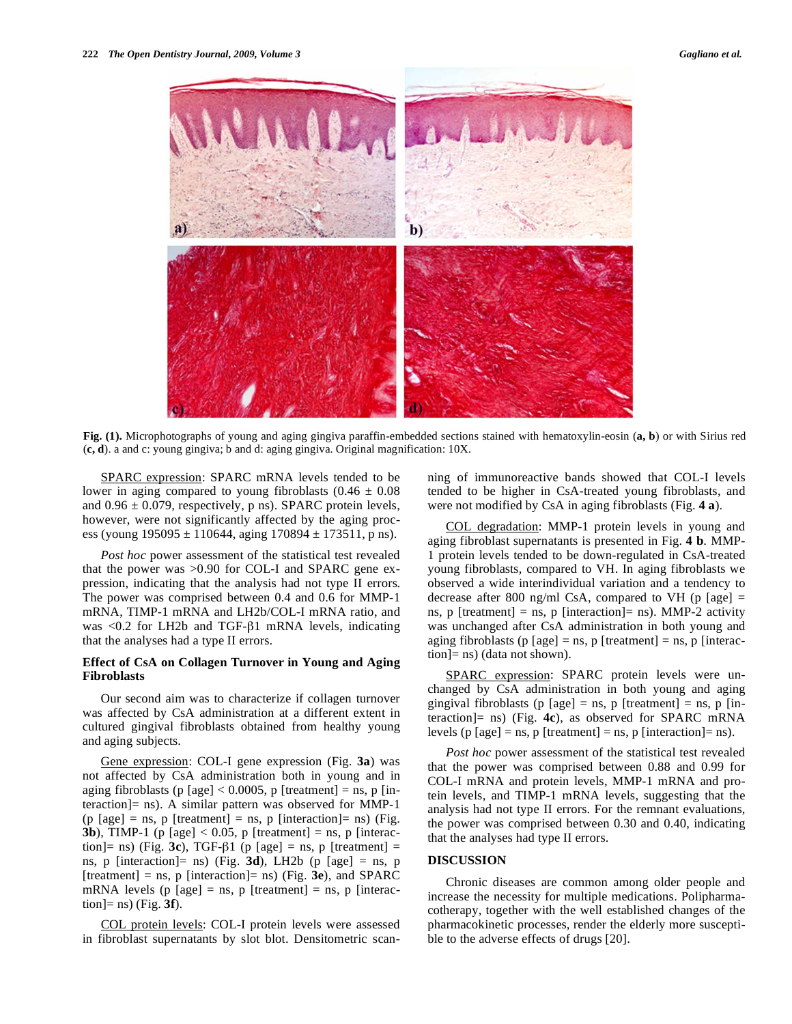

**Fig. (1).** Microphotographs of young and aging gingiva paraffin-embedded sections stained with hematoxylin-eosin (**a, b**) or with Sirius red (**c, d**). a and c: young gingiva; b and d: aging gingiva. Original magnification: 10X.

SPARC expression: SPARC mRNA levels tended to be lower in aging compared to young fibroblasts  $(0.46 \pm 0.08)$ and  $0.96 \pm 0.079$ , respectively, p ns). SPARC protein levels, however, were not significantly affected by the aging process (young  $195095 \pm 110644$ , aging  $170894 \pm 173511$ , p ns).

*Post hoc* power assessment of the statistical test revealed that the power was >0.90 for COL-I and SPARC gene expression, indicating that the analysis had not type II errors. The power was comprised between 0.4 and 0.6 for MMP-1 mRNA, TIMP-1 mRNA and LH2b/COL-I mRNA ratio, and was  $< 0.2$  for LH2b and TGF- $\beta$ 1 mRNA levels, indicating that the analyses had a type II errors.

### **Effect of CsA on Collagen Turnover in Young and Aging Fibroblasts**

Our second aim was to characterize if collagen turnover was affected by CsA administration at a different extent in cultured gingival fibroblasts obtained from healthy young and aging subjects.

Gene expression: COL-I gene expression (Fig. **3a**) was not affected by CsA administration both in young and in aging fibroblasts (p [age]  $< 0.0005$ , p [treatment] = ns, p [interaction]= ns). A similar pattern was observed for MMP-1  $(p \text{ [age]} = \text{ns}, p \text{ [treatment]} = \text{ns}, p \text{ [interaction]} = \text{ns})$  (Fig. **3b**), TIMP-1 (p [age]  $< 0.05$ , p [treatment] = ns, p [interaction]= ns) (Fig. **3c**), TGF- $\beta$ 1 (p [age] = ns, p [treatment] = ns, p [interaction]= ns) (Fig. **3d**), LH2b (p [age] = ns, p [treatment] = ns, p [interaction]= ns) (Fig. **3e**), and SPARC mRNA levels (p [age] = ns, p [treatment] = ns, p [interaction]= ns) (Fig. **3f**).

COL protein levels: COL-I protein levels were assessed in fibroblast supernatants by slot blot. Densitometric scanning of immunoreactive bands showed that COL-I levels tended to be higher in CsA-treated young fibroblasts, and were not modified by CsA in aging fibroblasts (Fig. **4 a**).

COL degradation: MMP-1 protein levels in young and aging fibroblast supernatants is presented in Fig. **4 b**. MMP-1 protein levels tended to be down-regulated in CsA-treated young fibroblasts, compared to VH. In aging fibroblasts we observed a wide interindividual variation and a tendency to decrease after 800 ng/ml CsA, compared to VH (p [age]  $=$ ns,  $p$  [treatment] = ns,  $p$  [interaction]= ns). MMP-2 activity was unchanged after CsA administration in both young and aging fibroblasts (p [age] = ns, p [treatment] = ns, p [interaction]= ns) (data not shown).

SPARC expression: SPARC protein levels were unchanged by CsA administration in both young and aging gingival fibroblasts (p [age] = ns, p [treatment] = ns, p [interaction]= ns) (Fig. **4c**), as observed for SPARC mRNA levels (p [age] = ns, p [treatment] = ns, p [interaction]= ns).

*Post hoc* power assessment of the statistical test revealed that the power was comprised between 0.88 and 0.99 for COL-I mRNA and protein levels, MMP-1 mRNA and protein levels, and TIMP-1 mRNA levels, suggesting that the analysis had not type II errors. For the remnant evaluations, the power was comprised between 0.30 and 0.40, indicating that the analyses had type II errors.

# **DISCUSSION**

Chronic diseases are common among older people and increase the necessity for multiple medications. Polipharmacotherapy, together with the well established changes of the pharmacokinetic processes, render the elderly more susceptible to the adverse effects of drugs [20].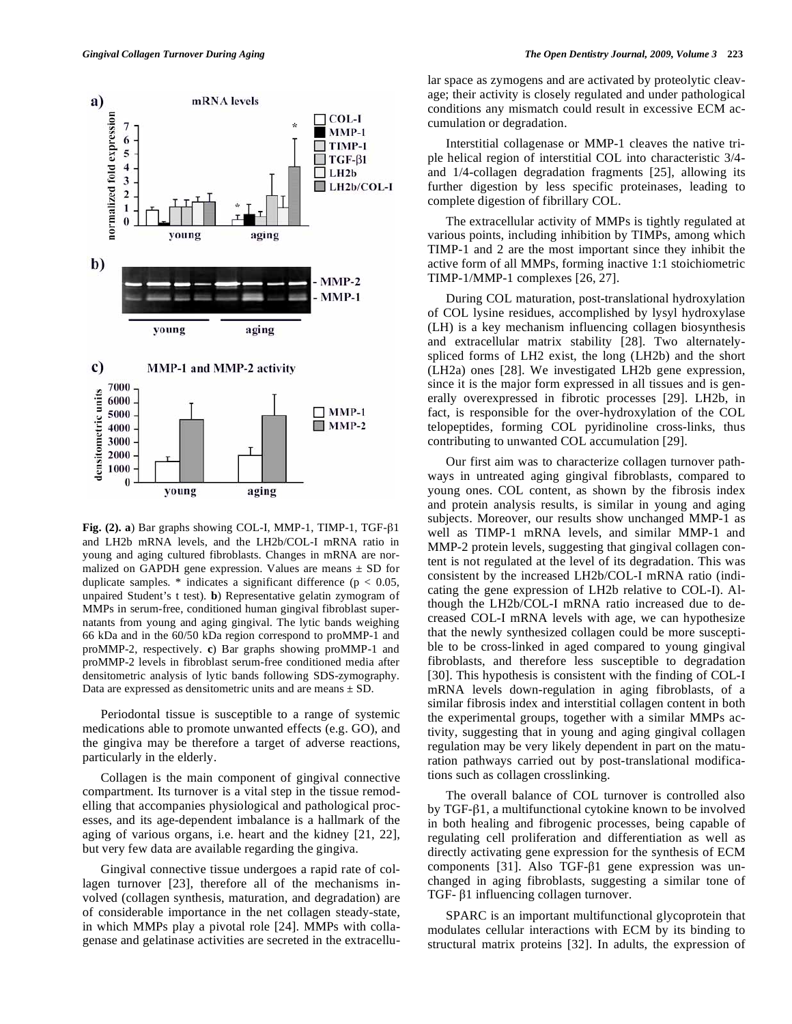

Fig.  $(2)$ . **a**) Bar graphs showing COL-I, MMP-1, TIMP-1, TGF- $\beta$ 1 and LH2b mRNA levels, and the LH2b/COL-I mRNA ratio in young and aging cultured fibroblasts. Changes in mRNA are normalized on GAPDH gene expression. Values are means  $\pm$  SD for duplicate samples.  $*$  indicates a significant difference ( $p < 0.05$ , unpaired Student's t test). **b**) Representative gelatin zymogram of MMPs in serum-free, conditioned human gingival fibroblast supernatants from young and aging gingival. The lytic bands weighing 66 kDa and in the 60/50 kDa region correspond to proMMP-1 and proMMP-2, respectively. **c**) Bar graphs showing proMMP-1 and proMMP-2 levels in fibroblast serum-free conditioned media after densitometric analysis of lytic bands following SDS-zymography. Data are expressed as densitometric units and are means  $\pm$  SD.

Periodontal tissue is susceptible to a range of systemic medications able to promote unwanted effects (e.g. GO), and the gingiva may be therefore a target of adverse reactions, particularly in the elderly.

Collagen is the main component of gingival connective compartment. Its turnover is a vital step in the tissue remodelling that accompanies physiological and pathological processes, and its age-dependent imbalance is a hallmark of the aging of various organs, i.e. heart and the kidney [21, 22], but very few data are available regarding the gingiva.

Gingival connective tissue undergoes a rapid rate of collagen turnover [23], therefore all of the mechanisms involved (collagen synthesis, maturation, and degradation) are of considerable importance in the net collagen steady-state, in which MMPs play a pivotal role [24]. MMPs with collagenase and gelatinase activities are secreted in the extracellular space as zymogens and are activated by proteolytic cleavage; their activity is closely regulated and under pathological conditions any mismatch could result in excessive ECM accumulation or degradation.

Interstitial collagenase or MMP-1 cleaves the native triple helical region of interstitial COL into characteristic 3/4 and 1/4-collagen degradation fragments [25], allowing its further digestion by less specific proteinases, leading to complete digestion of fibrillary COL.

The extracellular activity of MMPs is tightly regulated at various points, including inhibition by TIMPs, among which TIMP-1 and 2 are the most important since they inhibit the active form of all MMPs, forming inactive 1:1 stoichiometric TIMP-1/MMP-1 complexes [26, 27].

During COL maturation, post-translational hydroxylation of COL lysine residues, accomplished by lysyl hydroxylase (LH) is a key mechanism influencing collagen biosynthesis and extracellular matrix stability [28]. Two alternatelyspliced forms of LH2 exist, the long (LH2b) and the short (LH2a) ones [28]. We investigated LH2b gene expression, since it is the major form expressed in all tissues and is generally overexpressed in fibrotic processes [29]. LH2b, in fact, is responsible for the over-hydroxylation of the COL telopeptides, forming COL pyridinoline cross-links, thus contributing to unwanted COL accumulation [29].

Our first aim was to characterize collagen turnover pathways in untreated aging gingival fibroblasts, compared to young ones. COL content, as shown by the fibrosis index and protein analysis results, is similar in young and aging subjects. Moreover, our results show unchanged MMP-1 as well as TIMP-1 mRNA levels, and similar MMP-1 and MMP-2 protein levels, suggesting that gingival collagen content is not regulated at the level of its degradation. This was consistent by the increased LH2b/COL-I mRNA ratio (indicating the gene expression of LH2b relative to COL-I). Although the LH2b/COL-I mRNA ratio increased due to decreased COL-I mRNA levels with age, we can hypothesize that the newly synthesized collagen could be more susceptible to be cross-linked in aged compared to young gingival fibroblasts, and therefore less susceptible to degradation [30]. This hypothesis is consistent with the finding of COL-I mRNA levels down-regulation in aging fibroblasts, of a similar fibrosis index and interstitial collagen content in both the experimental groups, together with a similar MMPs activity, suggesting that in young and aging gingival collagen regulation may be very likely dependent in part on the maturation pathways carried out by post-translational modifications such as collagen crosslinking.

The overall balance of COL turnover is controlled also by TGF- $\beta$ 1, a multifunctional cytokine known to be involved in both healing and fibrogenic processes, being capable of regulating cell proliferation and differentiation as well as directly activating gene expression for the synthesis of ECM components  $[31]$ . Also TGF- $\beta$ 1 gene expression was unchanged in aging fibroblasts, suggesting a similar tone of TGF- $\beta$ 1 influencing collagen turnover.

SPARC is an important multifunctional glycoprotein that modulates cellular interactions with ECM by its binding to structural matrix proteins [32]. In adults, the expression of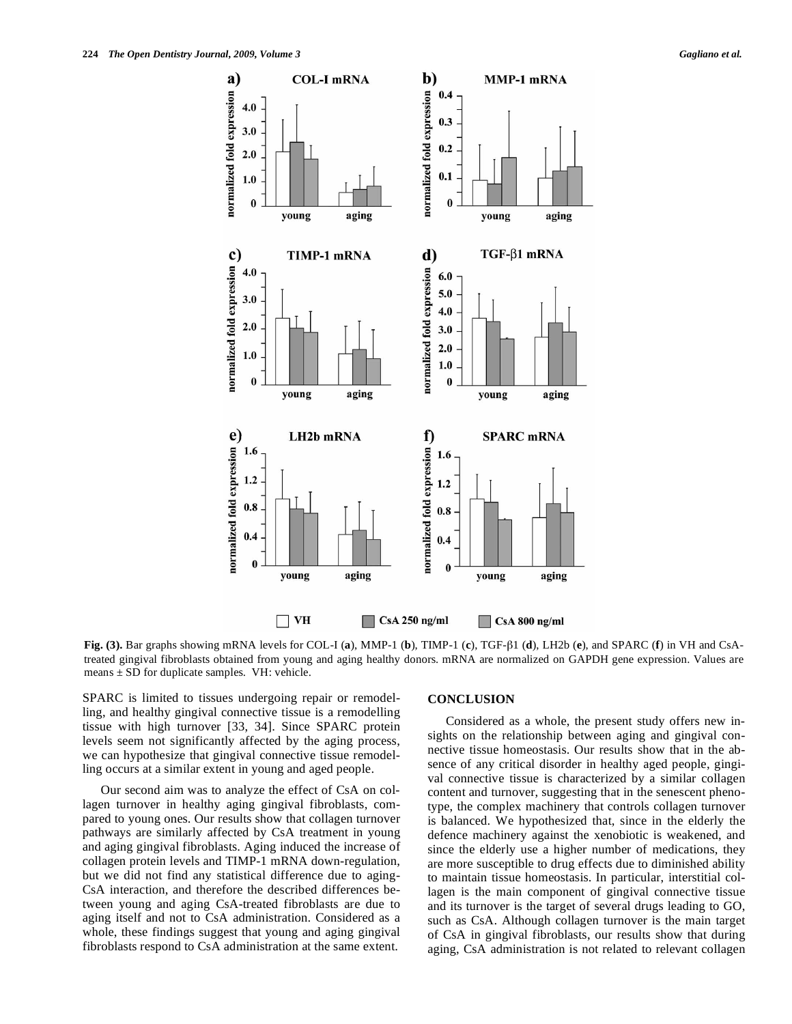

**Fig.** (3). Bar graphs showing mRNA levels for COL-I (a), MMP-1 (b), TIMP-1 (c), TGF- $\beta$ 1 (d), LH2b (e), and SPARC (f) in VH and CsAtreated gingival fibroblasts obtained from young and aging healthy donors. mRNA are normalized on GAPDH gene expression. Values are means  $\pm$  SD for duplicate samples. VH: vehicle.

SPARC is limited to tissues undergoing repair or remodelling, and healthy gingival connective tissue is a remodelling tissue with high turnover [33, 34]. Since SPARC protein levels seem not significantly affected by the aging process, we can hypothesize that gingival connective tissue remodelling occurs at a similar extent in young and aged people.

Our second aim was to analyze the effect of CsA on collagen turnover in healthy aging gingival fibroblasts, compared to young ones. Our results show that collagen turnover pathways are similarly affected by CsA treatment in young and aging gingival fibroblasts. Aging induced the increase of collagen protein levels and TIMP-1 mRNA down-regulation, but we did not find any statistical difference due to aging-CsA interaction, and therefore the described differences between young and aging CsA-treated fibroblasts are due to aging itself and not to CsA administration. Considered as a whole, these findings suggest that young and aging gingival fibroblasts respond to CsA administration at the same extent.

#### **CONCLUSION**

Considered as a whole, the present study offers new insights on the relationship between aging and gingival connective tissue homeostasis. Our results show that in the absence of any critical disorder in healthy aged people, gingival connective tissue is characterized by a similar collagen content and turnover, suggesting that in the senescent phenotype, the complex machinery that controls collagen turnover is balanced. We hypothesized that, since in the elderly the defence machinery against the xenobiotic is weakened, and since the elderly use a higher number of medications, they are more susceptible to drug effects due to diminished ability to maintain tissue homeostasis. In particular, interstitial collagen is the main component of gingival connective tissue and its turnover is the target of several drugs leading to GO, such as CsA. Although collagen turnover is the main target of CsA in gingival fibroblasts, our results show that during aging, CsA administration is not related to relevant collagen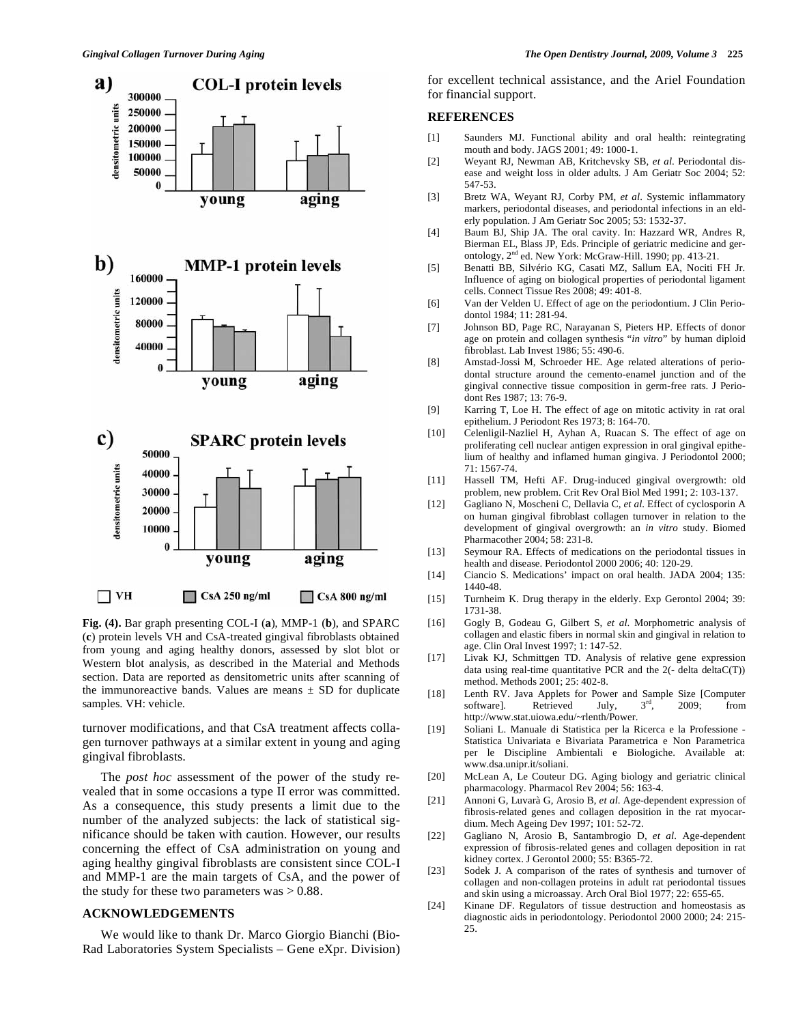

**Fig. (4).** Bar graph presenting COL-I (**a**), MMP-1 (**b**), and SPARC (**c**) protein levels VH and CsA-treated gingival fibroblasts obtained from young and aging healthy donors, assessed by slot blot or Western blot analysis, as described in the Material and Methods section. Data are reported as densitometric units after scanning of the immunoreactive bands. Values are means  $\pm$  SD for duplicate samples. VH: vehicle.

turnover modifications, and that CsA treatment affects collagen turnover pathways at a similar extent in young and aging gingival fibroblasts.

The *post hoc* assessment of the power of the study revealed that in some occasions a type II error was committed. As a consequence, this study presents a limit due to the number of the analyzed subjects: the lack of statistical significance should be taken with caution. However, our results concerning the effect of CsA administration on young and aging healthy gingival fibroblasts are consistent since COL-I and MMP-1 are the main targets of CsA, and the power of the study for these two parameters was  $> 0.88$ .

#### **ACKNOWLEDGEMENTS**

We would like to thank Dr. Marco Giorgio Bianchi (Bio-Rad Laboratories System Specialists – Gene eXpr. Division) for excellent technical assistance, and the Ariel Foundation for financial support.

# **REFERENCES**

- [1] Saunders MJ. Functional ability and oral health: reintegrating mouth and body. JAGS 2001; 49: 1000-1.
- [2] Weyant RJ, Newman AB, Kritchevsky SB, *et al*. Periodontal disease and weight loss in older adults. J Am Geriatr Soc 2004; 52: 547-53.
- [3] Bretz WA, Weyant RJ, Corby PM, *et al*. Systemic inflammatory markers, periodontal diseases, and periodontal infections in an elderly population. J Am Geriatr Soc 2005; 53: 1532-37.
- [4] Baum BJ, Ship JA. The oral cavity. In: Hazzard WR, Andres R, Bierman EL, Blass JP, Eds. Principle of geriatric medicine and gerontology, 2<sup>nd</sup> ed. New York: McGraw-Hill. 1990; pp. 413-21.
- [5] Benatti BB, Silvério KG, Casati MZ, Sallum EA, Nociti FH Jr. Influence of aging on biological properties of periodontal ligament cells. Connect Tissue Res 2008; 49: 401-8.
- [6] Van der Velden U. Effect of age on the periodontium. J Clin Periodontol 1984; 11: 281-94.
- [7] Johnson BD, Page RC, Narayanan S, Pieters HP. Effects of donor age on protein and collagen synthesis "*in vitro*" by human diploid fibroblast. Lab Invest 1986; 55: 490-6.
- [8] Amstad-Jossi M, Schroeder HE. Age related alterations of periodontal structure around the cemento-enamel junction and of the gingival connective tissue composition in germ-free rats. J Periodont Res 1987; 13: 76-9.
- [9] Karring T, Loe H. The effect of age on mitotic activity in rat oral epithelium. J Periodont Res 1973; 8: 164-70.
- [10] Celenligil-Nazliel H, Ayhan A, Ruacan S. The effect of age on proliferating cell nuclear antigen expression in oral gingival epithelium of healthy and inflamed human gingiva. J Periodontol 2000; 71: 1567-74.
- [11] Hassell TM, Hefti AF. Drug-induced gingival overgrowth: old problem, new problem. Crit Rev Oral Biol Med 1991; 2: 103-137.
- [12] Gagliano N, Moscheni C, Dellavia C, *et al*. Effect of cyclosporin A on human gingival fibroblast collagen turnover in relation to the development of gingival overgrowth: an *in vitro* study. Biomed Pharmacother 2004; 58: 231-8.
- [13] Seymour RA. Effects of medications on the periodontal tissues in health and disease. Periodontol 2000 2006; 40: 120-29.
- [14] Ciancio S. Medications' impact on oral health. JADA 2004; 135: 1440-48.
- [15] Turnheim K. Drug therapy in the elderly. Exp Gerontol 2004; 39: 1731-38.
- [16] Gogly B, Godeau G, Gilbert S, *et al*. Morphometric analysis of collagen and elastic fibers in normal skin and gingival in relation to age. Clin Oral Invest 1997; 1: 147-52.
- [17] Livak KJ, Schmittgen TD. Analysis of relative gene expression data using real-time quantitative PCR and the  $2(-$  delta delta $C(T)$ ) method. Methods 2001; 25: 402-8.
- [18] Lenth RV. Java Applets for Power and Sample Size [Computer software]. Retrieved July,  $3<sup>rd</sup>$ , 2009; from http://www.stat.uiowa.edu/~rlenth/Power.
- [19] Soliani L. Manuale di Statistica per la Ricerca e la Professione Statistica Univariata e Bivariata Parametrica e Non Parametrica per le Discipline Ambientali e Biologiche. Available at: www.dsa.unipr.it/soliani.
- [20] McLean A, Le Couteur DG. Aging biology and geriatric clinical pharmacology. Pharmacol Rev 2004; 56: 163-4.
- [21] Annoni G, Luvarà G, Arosio B, *et al*. Age-dependent expression of fibrosis-related genes and collagen deposition in the rat myocardium. Mech Ageing Dev 1997; 101: 52-72.
- [22] Gagliano N, Arosio B, Santambrogio D, *et al*. Age-dependent expression of fibrosis-related genes and collagen deposition in rat kidney cortex. J Gerontol 2000; 55: B365-72.
- [23] Sodek J. A comparison of the rates of synthesis and turnover of collagen and non-collagen proteins in adult rat periodontal tissues and skin using a microassay. Arch Oral Biol 1977; 22: 655-65.
- [24] Kinane DF. Regulators of tissue destruction and homeostasis as diagnostic aids in periodontology. Periodontol 2000 2000; 24: 215- 25.